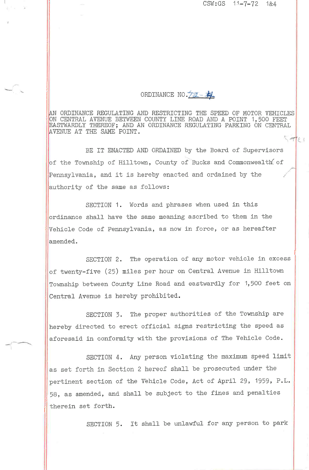$CSW:GS$  11-7-72 1&4

 $\sqrt{7}$ ()

ORDINANCE NO. 22-34

ORDINANCE REGULAIING AND RES!'RIC'I'ING IHE SPEED OF MOTOR VEHICLES ON CENTRAL AVENUE BETWEEN COUNTY LINE ROAD AND A POINT 1,500 FEET STWARDLY THEREOF; AND AN ORDINANCE REGULATING PARKING ON CENTRA VENUE AT THE SAME POINT

BE IT ENACTED AND ORDAINED by the Board of Supervisors of the Township of Hilltown, County of Bucks and Commonwealth of Pennsylvania, and it is hereby enacted and ordained by the authority of the same as follows:

SECTION 1. Words and phrases when used in this ordinance shall have the same meaning ascribed to them in the Vehicle Code of Pennsylvania, as now in force, or as hereafter amended.

SECTION 2. The operation of any motor vehicle in excess of twenty-five (25) miles per hour on Central Avenue in Hilltown Township between County Line Road and eastwardly for 1,500 feet on Central Avenue is hereby prohibited.

SECTION 3. The proper authorities of the Township are hereby directed to erect official signs restricting the speed as aforesaid in conformity with the provisions of The Vehicle Code.

SECTION 4. Any person violating the maximum speed limit as set forth in Section 2 hereof shall be prosecuted under the pertinent section of the Vehicle Code, Act of April 29, 1959, P.L. 58, as amended, and shall be sub,ject to the fines and penalties therein set forth.

SECTION 5. It shall be unlawful for any person to park